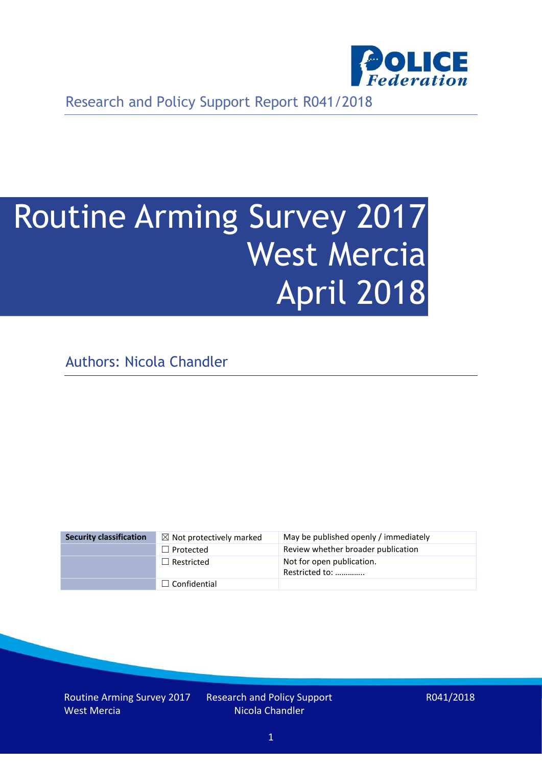

Research and Policy Support Report R041/2018

# Routine Arming Survey 2017 West Mercia April 2018

Authors: Nicola Chandler

| <b>Security classification</b> | $\boxtimes$ Not protectively marked | May be published openly / immediately       |
|--------------------------------|-------------------------------------|---------------------------------------------|
|                                | $\Box$ Protected                    | Review whether broader publication          |
|                                | $\Box$ Restricted                   | Not for open publication.<br>Restricted to: |
|                                | $\Box$ Confidential                 |                                             |

Routine Arming Survey 2017 West Mercia

Research and Policy Support Nicola Chandler

R041/2018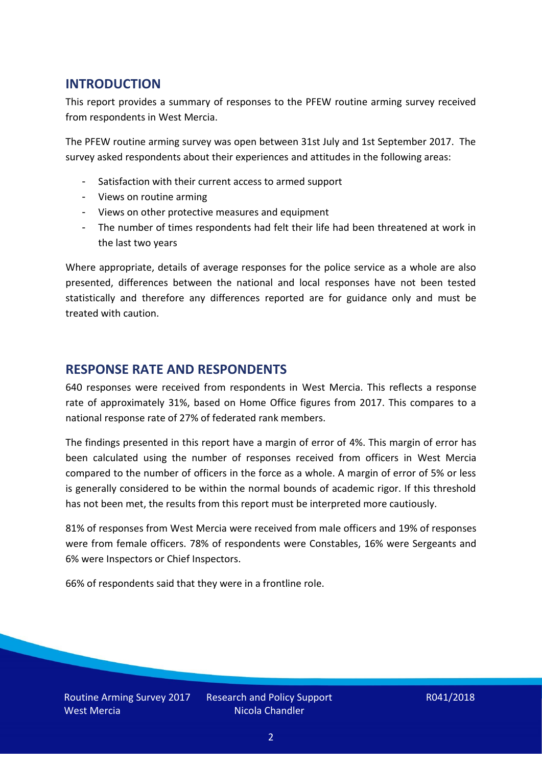## **INTRODUCTION**

This report provides a summary of responses to the PFEW routine arming survey received from respondents in West Mercia.

The PFEW routine arming survey was open between 31st July and 1st September 2017. The survey asked respondents about their experiences and attitudes in the following areas:

- Satisfaction with their current access to armed support
- Views on routine arming
- Views on other protective measures and equipment
- The number of times respondents had felt their life had been threatened at work in the last two years

Where appropriate, details of average responses for the police service as a whole are also presented, differences between the national and local responses have not been tested statistically and therefore any differences reported are for guidance only and must be treated with caution.

### **RESPONSE RATE AND RESPONDENTS**

640 responses were received from respondents in West Mercia. This reflects a response rate of approximately 31%, based on Home Office figures from 2017. This compares to a national response rate of 27% of federated rank members.

The findings presented in this report have a margin of error of 4%. This margin of error has been calculated using the number of responses received from officers in West Mercia compared to the number of officers in the force as a whole. A margin of error of 5% or less is generally considered to be within the normal bounds of academic rigor. If this threshold has not been met, the results from this report must be interpreted more cautiously.

81% of responses from West Mercia were received from male officers and 19% of responses were from female officers. 78% of respondents were Constables, 16% were Sergeants and 6% were Inspectors or Chief Inspectors.

66% of respondents said that they were in a frontline role.

Routine Arming Survey 2017 West Mercia

Research and Policy Support Nicola Chandler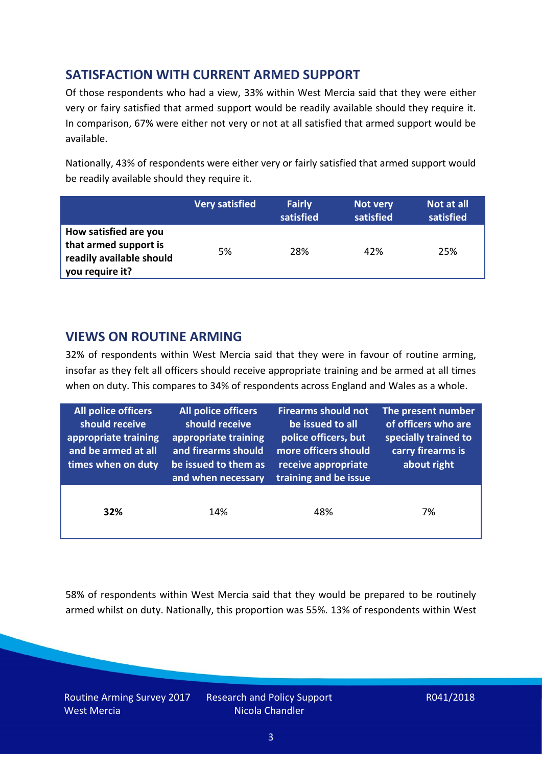# **SATISFACTION WITH CURRENT ARMED SUPPORT**

Of those respondents who had a view, 33% within West Mercia said that they were either very or fairy satisfied that armed support would be readily available should they require it. In comparison, 67% were either not very or not at all satisfied that armed support would be available.

Nationally, 43% of respondents were either very or fairly satisfied that armed support would be readily available should they require it.

|                                                                                               | <b>Very satisfied</b> | <b>Fairly</b><br>satisfied | Not very<br>satisfied | Not at all<br>satisfied |
|-----------------------------------------------------------------------------------------------|-----------------------|----------------------------|-----------------------|-------------------------|
| How satisfied are you<br>that armed support is<br>readily available should<br>you require it? | 5%                    | 28%                        | 42%                   | 25%                     |

### **VIEWS ON ROUTINE ARMING**

32% of respondents within West Mercia said that they were in favour of routine arming, insofar as they felt all officers should receive appropriate training and be armed at all times when on duty. This compares to 34% of respondents across England and Wales as a whole.

| All police officers<br>should receive<br>appropriate training<br>and be armed at all<br>times when on duty | All police officers<br>should receive<br>appropriate training<br>and firearms should<br>be issued to them as<br>and when necessary | <b>Firearms should not</b><br>be issued to all<br>police officers, but<br>more officers should<br>receive appropriate<br>training and be issue | The present number<br>of officers who are<br>specially trained to<br>carry firearms is<br>about right |  |
|------------------------------------------------------------------------------------------------------------|------------------------------------------------------------------------------------------------------------------------------------|------------------------------------------------------------------------------------------------------------------------------------------------|-------------------------------------------------------------------------------------------------------|--|
| 32%                                                                                                        | 14%                                                                                                                                | 48%                                                                                                                                            | 7%                                                                                                    |  |

58% of respondents within West Mercia said that they would be prepared to be routinely armed whilst on duty. Nationally, this proportion was 55%. 13% of respondents within West

Routine Arming Survey 2017 West Mercia

Research and Policy Support Nicola Chandler

R041/2018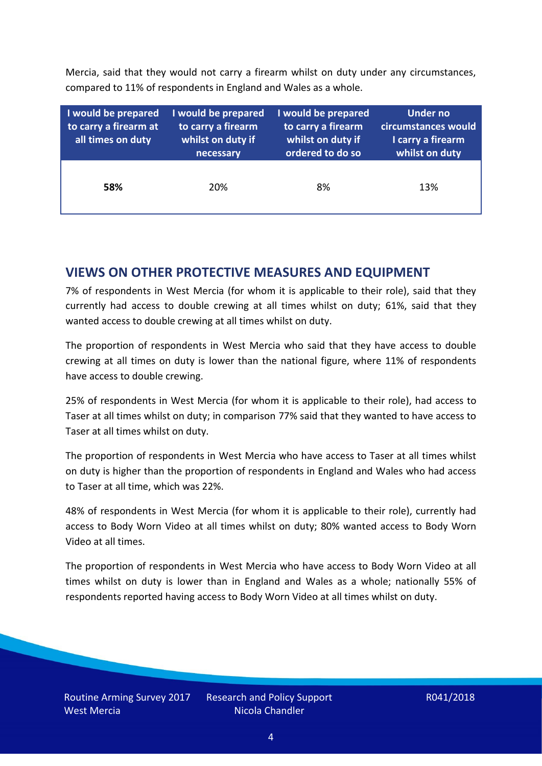Mercia, said that they would not carry a firearm whilst on duty under any circumstances, compared to 11% of respondents in England and Wales as a whole.

| I would be prepared<br>to carry a firearm at<br>all times on duty | I would be prepared<br>to carry a firearm<br>whilst on duty if<br>necessary | I would be prepared<br>to carry a firearm<br>whilst on duty if<br>ordered to do so | Under no<br>circumstances would<br>I carry a firearm<br>whilst on duty |  |  |
|-------------------------------------------------------------------|-----------------------------------------------------------------------------|------------------------------------------------------------------------------------|------------------------------------------------------------------------|--|--|
| 58%                                                               | 20%                                                                         | 8%                                                                                 | 13%                                                                    |  |  |

### **VIEWS ON OTHER PROTECTIVE MEASURES AND EQUIPMENT**

7% of respondents in West Mercia (for whom it is applicable to their role), said that they currently had access to double crewing at all times whilst on duty; 61%, said that they wanted access to double crewing at all times whilst on duty.

The proportion of respondents in West Mercia who said that they have access to double crewing at all times on duty is lower than the national figure, where 11% of respondents have access to double crewing.

25% of respondents in West Mercia (for whom it is applicable to their role), had access to Taser at all times whilst on duty; in comparison 77% said that they wanted to have access to Taser at all times whilst on duty.

The proportion of respondents in West Mercia who have access to Taser at all times whilst on duty is higher than the proportion of respondents in England and Wales who had access to Taser at all time, which was 22%.

48% of respondents in West Mercia (for whom it is applicable to their role), currently had access to Body Worn Video at all times whilst on duty; 80% wanted access to Body Worn Video at all times.

The proportion of respondents in West Mercia who have access to Body Worn Video at all times whilst on duty is lower than in England and Wales as a whole; nationally 55% of respondents reported having access to Body Worn Video at all times whilst on duty.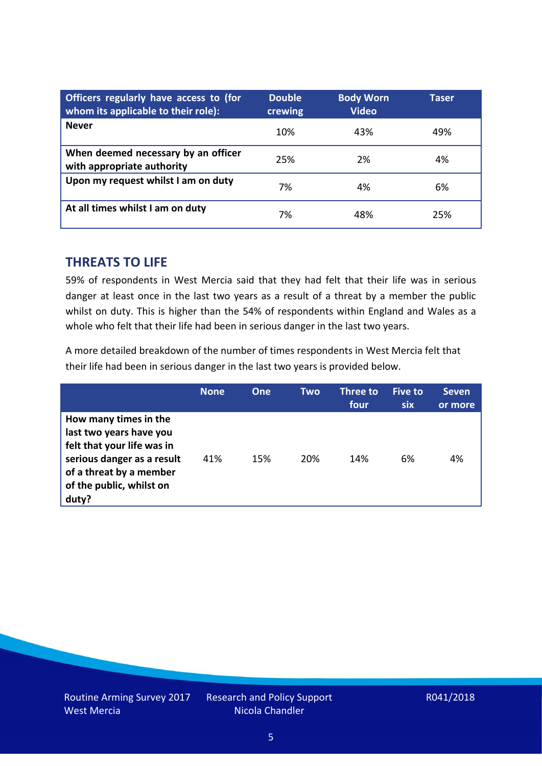| Officers regularly have access to (for<br>whom its applicable to their role): | <b>Double</b><br>crewing | <b>Body Worn</b><br><b>Video</b> | Taser |
|-------------------------------------------------------------------------------|--------------------------|----------------------------------|-------|
| <b>Never</b>                                                                  | 10%                      | 43%                              | 49%   |
| When deemed necessary by an officer<br>with appropriate authority             | 25%                      | 2%                               | 4%    |
| Upon my request whilst I am on duty                                           | 7%                       | 4%                               | 6%    |
| At all times whilst I am on duty                                              | 7%                       | 48%                              | 25%   |

#### **THREATS TO LIFE**

59% of respondents in West Mercia said that they had felt that their life was in serious danger at least once in the last two years as a result of a threat by a member the public whilst on duty. This is higher than the 54% of respondents within England and Wales as a whole who felt that their life had been in serious danger in the last two years.

A more detailed breakdown of the number of times respondents in West Mercia felt that their life had been in serious danger in the last two years is provided below.

|                                                                                                                                                                              | <b>None</b> | One | Two | Three to<br>four | <b>Five to</b><br>six | <b>Seven</b><br>or more |
|------------------------------------------------------------------------------------------------------------------------------------------------------------------------------|-------------|-----|-----|------------------|-----------------------|-------------------------|
| How many times in the<br>last two years have you<br>felt that your life was in<br>serious danger as a result<br>of a threat by a member<br>of the public, whilst on<br>duty? | 41%         | 15% | 20% | 14%              | 6%                    | 4%                      |

Research and Policy Support Nicola Chandler